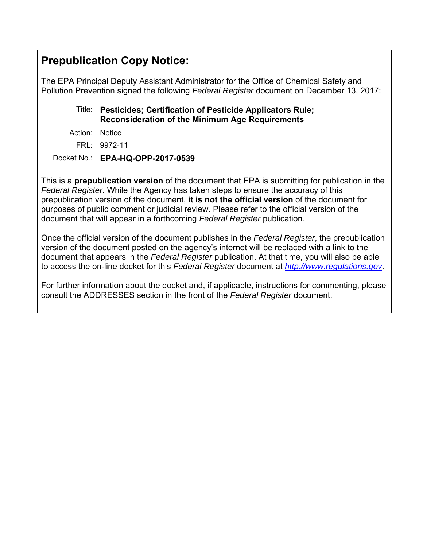# **Prepublication Copy Notice:**

The EPA Principal Deputy Assistant Administrator for the Office of Chemical Safety and Pollution Prevention signed the following *Federal Register* document on December 13, 2017:

# Title: **Pesticides; Certification of Pesticide Applicators Rule; Reconsideration of the Minimum Age Requirements**

Action: Notice

FRL: 9972-11

Docket No.: **EPA-HQ-OPP-2017-0539** 

This is a **prepublication version** of the document that EPA is submitting for publication in the *Federal Register*. While the Agency has taken steps to ensure the accuracy of this prepublication version of the document, **it is not the official version** of the document for purposes of public comment or judicial review. Please refer to the official version of the document that will appear in a forthcoming *Federal Register* publication.

Once the official version of the document publishes in the *Federal Register*, the prepublication version of the document posted on the agency's internet will be replaced with a link to the document that appears in the *Federal Register* publication. At that time, you will also be able to access the on-line docket for this *Federal Register* document at *http://www.regulations.gov*.

For further information about the docket and, if applicable, instructions for commenting, please consult the ADDRESSES section in the front of the *Federal Register* document.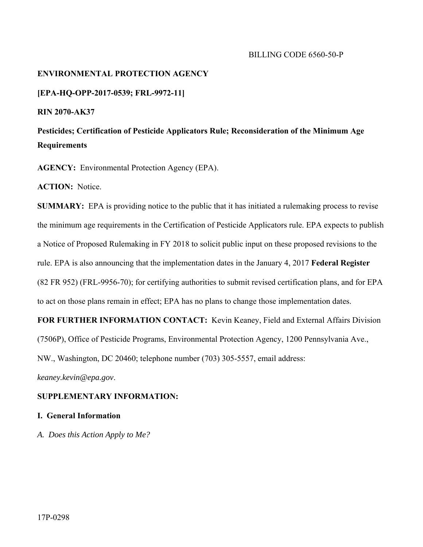#### BILLING CODE 6560-50-P

#### **ENVIRONMENTAL PROTECTION AGENCY**

#### **[EPA-HQ-OPP-2017-0539; FRL-9972-11]**

**RIN 2070-AK37** 

# **Pesticides; Certification of Pesticide Applicators Rule; Reconsideration of the Minimum Age Requirements**

**AGENCY:** Environmental Protection Agency (EPA).

**ACTION:** Notice.

**SUMMARY:** EPA is providing notice to the public that it has initiated a rulemaking process to revise the minimum age requirements in the Certification of Pesticide Applicators rule. EPA expects to publish a Notice of Proposed Rulemaking in FY 2018 to solicit public input on these proposed revisions to the rule. EPA is also announcing that the implementation dates in the January 4, 2017 **Federal Register**  (82 FR 952) (FRL-9956-70); for certifying authorities to submit revised certification plans, and for EPA to act on those plans remain in effect; EPA has no plans to change those implementation dates.

**FOR FURTHER INFORMATION CONTACT:** Kevin Keaney, Field and External Affairs Division (7506P), Office of Pesticide Programs, Environmental Protection Agency, 1200 Pennsylvania Ave.,

NW., Washington, DC 20460; telephone number (703) 305-5557, email address:

*keaney.kevin@epa.gov*.

## **SUPPLEMENTARY INFORMATION:**

### **I. General Information**

*A. Does this Action Apply to Me?*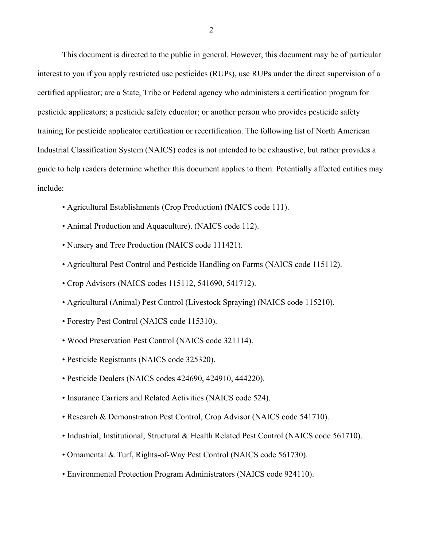This document is directed to the public in general. However, this document may be of particular interest to you if you apply restricted use pesticides (RUPs), use RUPs under the direct supervision of a certified applicator; are a State, Tribe or Federal agency who administers a certification program for pesticide applicators; a pesticide safety educator; or another person who provides pesticide safety training for pesticide applicator certification or recertification. The following list of North American Industrial Classification System (NAICS) codes is not intended to be exhaustive, but rather provides a guide to help readers determine whether this document applies to them. Potentially affected entities may include:

- Agricultural Establishments (Crop Production) (NAICS code 111).
- Animal Production and Aquaculture). (NAICS code 112).
- Nursery and Tree Production (NAICS code 111421).
- Agricultural Pest Control and Pesticide Handling on Farms (NAICS code 115112).
- Crop Advisors (NAICS codes 115112, 541690, 541712).
- Agricultural (Animal) Pest Control (Livestock Spraying) (NAICS code 115210).
- Forestry Pest Control (NAICS code 115310).
- Wood Preservation Pest Control (NAICS code 321114).
- Pesticide Registrants (NAICS code 325320).
- Pesticide Dealers (NAICS codes 424690, 424910, 444220).
- Insurance Carriers and Related Activities (NAICS code 524).
- Research & Demonstration Pest Control, Crop Advisor (NAICS code 541710).
- Industrial, Institutional, Structural & Health Related Pest Control (NAICS code 561710).
- Ornamental & Turf, Rights-of-Way Pest Control (NAICS code 561730).
- Environmental Protection Program Administrators (NAICS code 924110).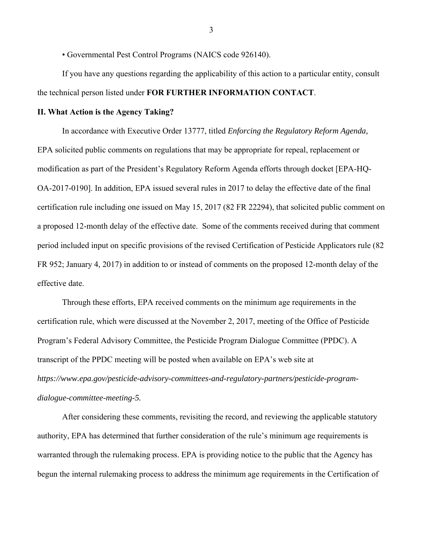• Governmental Pest Control Programs (NAICS code 926140).

If you have any questions regarding the applicability of this action to a particular entity, consult the technical person listed under **FOR FURTHER INFORMATION CONTACT**.

#### **II. What Action is the Agency Taking?**

In accordance with Executive Order 13777, titled *Enforcing the Regulatory Reform Agenda,*  EPA solicited public comments on regulations that may be appropriate for repeal, replacement or modification as part of the President's Regulatory Reform Agenda efforts through docket [EPA-HQ-OA-2017-0190]. In addition, EPA issued several rules in 2017 to delay the effective date of the final certification rule including one issued on May 15, 2017 (82 FR 22294), that solicited public comment on a proposed 12-month delay of the effective date. Some of the comments received during that comment period included input on specific provisions of the revised Certification of Pesticide Applicators rule (82 FR 952; January 4, 2017) in addition to or instead of comments on the proposed 12-month delay of the effective date.

Through these efforts, EPA received comments on the minimum age requirements in the certification rule, which were discussed at the November 2, 2017, meeting of the Office of Pesticide Program's Federal Advisory Committee, the Pesticide Program Dialogue Committee (PPDC). A transcript of the PPDC meeting will be posted when available on EPA's web site at *https://www.epa.gov/pesticide-advisory-committees-and-regulatory-partners/pesticide-programdialogue-committee-meeting-5.* 

After considering these comments, revisiting the record, and reviewing the applicable statutory authority, EPA has determined that further consideration of the rule's minimum age requirements is warranted through the rulemaking process. EPA is providing notice to the public that the Agency has begun the internal rulemaking process to address the minimum age requirements in the Certification of

3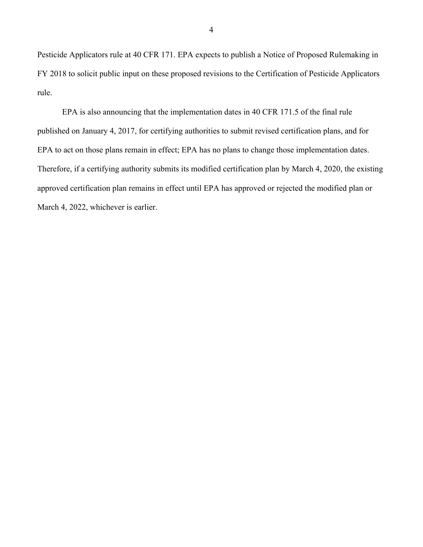Pesticide Applicators rule at 40 CFR 171. EPA expects to publish a Notice of Proposed Rulemaking in FY 2018 to solicit public input on these proposed revisions to the Certification of Pesticide Applicators rule.

EPA is also announcing that the implementation dates in 40 CFR 171.5 of the final rule published on January 4, 2017, for certifying authorities to submit revised certification plans, and for EPA to act on those plans remain in effect; EPA has no plans to change those implementation dates. Therefore, if a certifying authority submits its modified certification plan by March 4, 2020, the existing approved certification plan remains in effect until EPA has approved or rejected the modified plan or March 4, 2022, whichever is earlier.